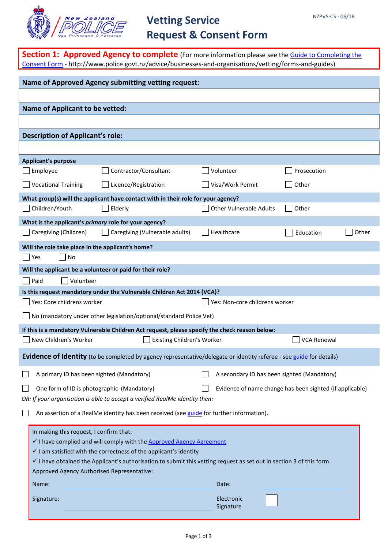

# **Vetting Service Request & Consent Form**

| <b>Section 1: Approved Agency to complete</b> (For more information please see the <b>Guide to Completing the</b><br>Consent Form - http://www.police.govt.nz/advice/businesses-and-organisations/vetting/forms-and-guides) |                                         |  |  |  |  |
|-----------------------------------------------------------------------------------------------------------------------------------------------------------------------------------------------------------------------------|-----------------------------------------|--|--|--|--|
| <b>Name of Approved Agency submitting vetting request:</b>                                                                                                                                                                  |                                         |  |  |  |  |
|                                                                                                                                                                                                                             |                                         |  |  |  |  |
| <b>Name of Applicant to be vetted:</b>                                                                                                                                                                                      |                                         |  |  |  |  |
|                                                                                                                                                                                                                             |                                         |  |  |  |  |
| <b>Description of Applicant's role:</b>                                                                                                                                                                                     |                                         |  |  |  |  |
|                                                                                                                                                                                                                             |                                         |  |  |  |  |
| <b>Applicant's purpose</b>                                                                                                                                                                                                  |                                         |  |  |  |  |
| Employee<br>Contractor/Consultant                                                                                                                                                                                           | Volunteer<br>Prosecution                |  |  |  |  |
| Vocational Training<br>Licence/Registration                                                                                                                                                                                 | Visa/Work Permit<br>Other               |  |  |  |  |
| What group(s) will the applicant have contact with in their role for your agency?                                                                                                                                           |                                         |  |  |  |  |
| Children/Youth<br>Elderly                                                                                                                                                                                                   | <b>Other Vulnerable Adults</b><br>Other |  |  |  |  |
| What is the applicant's primary role for your agency?                                                                                                                                                                       |                                         |  |  |  |  |
| Caregiving (Children)<br>Caregiving (Vulnerable adults)                                                                                                                                                                     | Healthcare<br>Other<br>Education        |  |  |  |  |
| Will the role take place in the applicant's home?                                                                                                                                                                           |                                         |  |  |  |  |
| $\Box$ Yes<br>No<br>Will the applicant be a volunteer or paid for their role?                                                                                                                                               |                                         |  |  |  |  |
| Paid<br>Volunteer                                                                                                                                                                                                           |                                         |  |  |  |  |
| Is this request mandatory under the Vulnerable Children Act 2014 (VCA)?                                                                                                                                                     |                                         |  |  |  |  |
| Yes: Core childrens worker                                                                                                                                                                                                  | Yes: Non-core childrens worker          |  |  |  |  |
| $\Box$ No (mandatory under other legislation/optional/standard Police Vet)                                                                                                                                                  |                                         |  |  |  |  |
| If this is a mandatory Vulnerable Children Act request, please specify the check reason below:                                                                                                                              |                                         |  |  |  |  |
| $\bigsqcup$ New Children's Worker<br>Existing Children's Worker                                                                                                                                                             | <b>VCA Renewal</b>                      |  |  |  |  |
| Evidence of Identity (to be completed by agency representative/delegate or identity referee - see guide for details)                                                                                                        |                                         |  |  |  |  |
| A primary ID has been sighted (Mandatory)<br>A secondary ID has been sighted (Mandatory)                                                                                                                                    |                                         |  |  |  |  |
| One form of ID is photographic (Mandatory)<br>Evidence of name change has been sighted (if applicable)                                                                                                                      |                                         |  |  |  |  |
| OR: If your organisation is able to accept a verified RealMe identity then:                                                                                                                                                 |                                         |  |  |  |  |
| An assertion of a RealMe identity has been received (see guide for further information).                                                                                                                                    |                                         |  |  |  |  |
| In making this request, I confirm that:                                                                                                                                                                                     |                                         |  |  |  |  |
| I have complied and will comply with the Approved Agency Agreement                                                                                                                                                          |                                         |  |  |  |  |
| $\checkmark$ I am satisfied with the correctness of the applicant's identity<br>$\checkmark$ I have obtained the Applicant's authorisation to submit this vetting request as set out in section 3 of this form              |                                         |  |  |  |  |
| Approved Agency Authorised Representative:                                                                                                                                                                                  |                                         |  |  |  |  |
| Name:                                                                                                                                                                                                                       | Date:                                   |  |  |  |  |
| Signature:                                                                                                                                                                                                                  | Electronic                              |  |  |  |  |
|                                                                                                                                                                                                                             | Signature                               |  |  |  |  |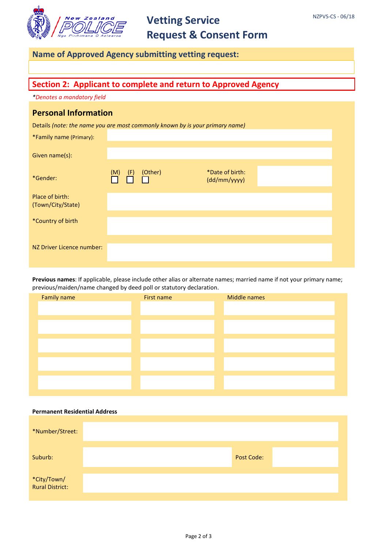

# **Vetting Service Request & Consent Form**

## **Name of Approved Agency submitting vetting request:**

## **Section 2: Applicant to complete and return to Approved Agency**

*\*Denotes a mandatory field*

### **Personal Information**

Details *(note: the name you are most commonly known by is your primary name)*

| *Family name (Primary):              |            |         |                                 |  |
|--------------------------------------|------------|---------|---------------------------------|--|
| Given name(s):                       |            |         |                                 |  |
| *Gender:                             | (M)<br>(F) | (Other) | *Date of birth:<br>(dd/mm/yyyy) |  |
| Place of birth:<br>(Town/City/State) |            |         |                                 |  |
| *Country of birth                    |            |         |                                 |  |
| NZ Driver Licence number:            |            |         |                                 |  |

**Previous names**: If applicable, please include other alias or alternate names; married name if not your primary name; previous/maiden/name changed by deed poll or statutory declaration.

#### **Permanent Residential Address**

| *Number/Street:                |  |            |  |
|--------------------------------|--|------------|--|
| Suburb:                        |  | Post Code: |  |
| *City/Town/<br>Rural District: |  |            |  |